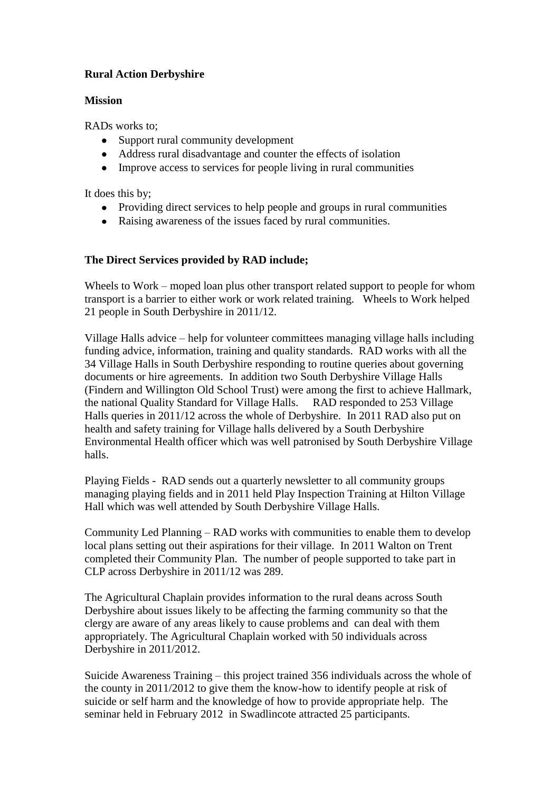# **Rural Action Derbyshire**

#### **Mission**

RADs works to;

- Support rural community development
- Address rural disadvantage and counter the effects of isolation
- Improve access to services for people living in rural communities

It does this by;

- Providing direct services to help people and groups in rural communities
- Raising awareness of the issues faced by rural communities.

# **The Direct Services provided by RAD include;**

Wheels to Work – moped loan plus other transport related support to people for whom transport is a barrier to either work or work related training. Wheels to Work helped 21 people in South Derbyshire in 2011/12.

Village Halls advice – help for volunteer committees managing village halls including funding advice, information, training and quality standards. RAD works with all the 34 Village Halls in South Derbyshire responding to routine queries about governing documents or hire agreements. In addition two South Derbyshire Village Halls (Findern and Willington Old School Trust) were among the first to achieve Hallmark, the national Quality Standard for Village Halls. RAD responded to 253 Village Halls queries in 2011/12 across the whole of Derbyshire. In 2011 RAD also put on health and safety training for Village halls delivered by a South Derbyshire Environmental Health officer which was well patronised by South Derbyshire Village halls.

Playing Fields - RAD sends out a quarterly newsletter to all community groups managing playing fields and in 2011 held Play Inspection Training at Hilton Village Hall which was well attended by South Derbyshire Village Halls.

Community Led Planning – RAD works with communities to enable them to develop local plans setting out their aspirations for their village. In 2011 Walton on Trent completed their Community Plan. The number of people supported to take part in CLP across Derbyshire in 2011/12 was 289.

The Agricultural Chaplain provides information to the rural deans across South Derbyshire about issues likely to be affecting the farming community so that the clergy are aware of any areas likely to cause problems and can deal with them appropriately. The Agricultural Chaplain worked with 50 individuals across Derbyshire in 2011/2012.

Suicide Awareness Training – this project trained 356 individuals across the whole of the county in 2011/2012 to give them the know-how to identify people at risk of suicide or self harm and the knowledge of how to provide appropriate help. The seminar held in February 2012 in Swadlincote attracted 25 participants.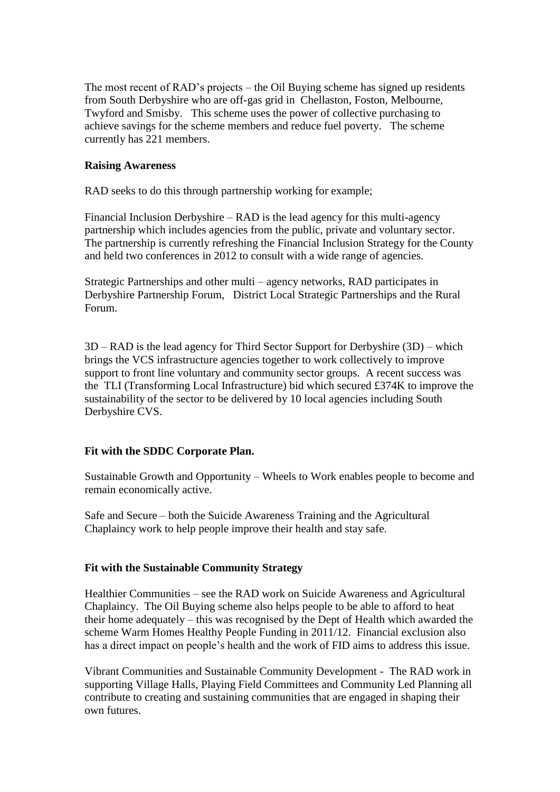The most recent of RAD's projects – the Oil Buying scheme has signed up residents from South Derbyshire who are off-gas grid in Chellaston, Foston, Melbourne, Twyford and Smisby. This scheme uses the power of collective purchasing to achieve savings for the scheme members and reduce fuel poverty. The scheme currently has 221 members.

### **Raising Awareness**

RAD seeks to do this through partnership working for example;

Financial Inclusion Derbyshire – RAD is the lead agency for this multi-agency partnership which includes agencies from the public, private and voluntary sector. The partnership is currently refreshing the Financial Inclusion Strategy for the County and held two conferences in 2012 to consult with a wide range of agencies.

Strategic Partnerships and other multi – agency networks, RAD participates in Derbyshire Partnership Forum, District Local Strategic Partnerships and the Rural Forum.

3D – RAD is the lead agency for Third Sector Support for Derbyshire (3D) – which brings the VCS infrastructure agencies together to work collectively to improve support to front line voluntary and community sector groups. A recent success was the TLI (Transforming Local Infrastructure) bid which secured £374K to improve the sustainability of the sector to be delivered by 10 local agencies including South Derbyshire CVS.

## **Fit with the SDDC Corporate Plan.**

Sustainable Growth and Opportunity – Wheels to Work enables people to become and remain economically active.

Safe and Secure – both the Suicide Awareness Training and the Agricultural Chaplaincy work to help people improve their health and stay safe.

#### **Fit with the Sustainable Community Strategy**

Healthier Communities – see the RAD work on Suicide Awareness and Agricultural Chaplaincy. The Oil Buying scheme also helps people to be able to afford to heat their home adequately – this was recognised by the Dept of Health which awarded the scheme Warm Homes Healthy People Funding in 2011/12. Financial exclusion also has a direct impact on people's health and the work of FID aims to address this issue.

Vibrant Communities and Sustainable Community Development - The RAD work in supporting Village Halls, Playing Field Committees and Community Led Planning all contribute to creating and sustaining communities that are engaged in shaping their own futures.